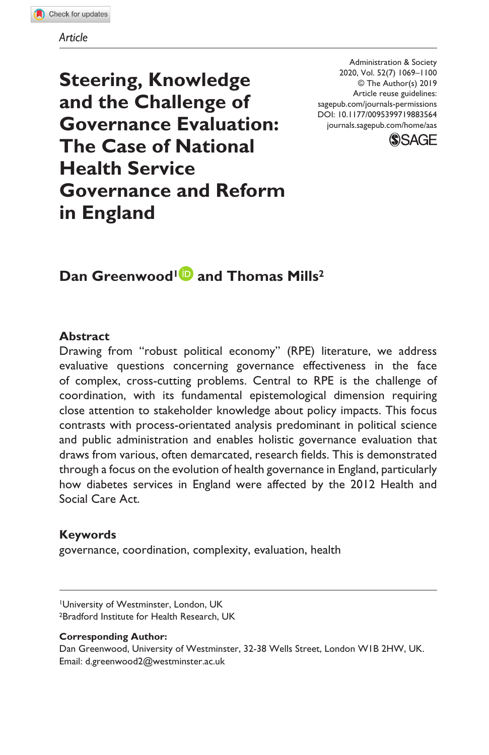**Steering, Knowledge and the Challenge of Governance Evaluation: The Case of National Health Service Governance and Reform in England**

DOI: 10.1177/0095399719883564 Administration & Society 2020, Vol. 52(7) 1069–1100 © The Author(s) 2019 Article reuse guidelines: [sagepub.com/journals-permissions](https://us.sagepub.com/en-us/journals-permissions) [journals.sagepub.com/home/aas](https://journals.sagepub.com/home/aas
)



## **Dan Greenwood<sup>1</sup> and Thomas Mills<sup>2</sup>**

#### **Abstract**

Drawing from "robust political economy" (RPE) literature, we address evaluative questions concerning governance effectiveness in the face of complex, cross-cutting problems. Central to RPE is the challenge of coordination, with its fundamental epistemological dimension requiring close attention to stakeholder knowledge about policy impacts. This focus contrasts with process-orientated analysis predominant in political science and public administration and enables holistic governance evaluation that draws from various, often demarcated, research fields. This is demonstrated through a focus on the evolution of health governance in England, particularly how diabetes services in England were affected by the 2012 Health and Social Care Act.

#### **Keywords**

governance, coordination, complexity, evaluation, health

#### **Corresponding Author:**

Dan Greenwood, University of Westminster, 32-38 Wells Street, London W1B 2HW, UK. Email: [d.greenwood2@westminster.ac.uk](mailto:d.greenwood2@westminster.ac.uk)

<sup>1</sup>University of Westminster, London, UK 2Bradford Institute for Health Research, UK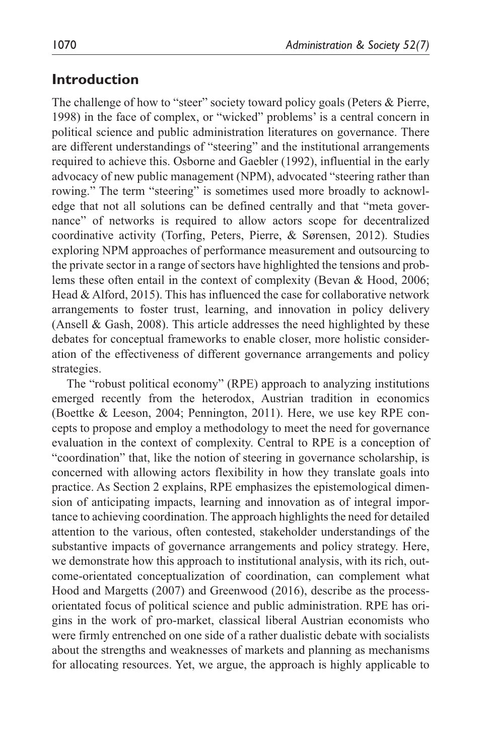## **Introduction**

The challenge of how to "steer" society toward policy goals (Peters & Pierre, 1998) in the face of complex, or "wicked" problems' is a central concern in political science and public administration literatures on governance. There are different understandings of "steering" and the institutional arrangements required to achieve this. Osborne and Gaebler (1992), influential in the early advocacy of new public management (NPM), advocated "steering rather than rowing." The term "steering" is sometimes used more broadly to acknowledge that not all solutions can be defined centrally and that "meta governance" of networks is required to allow actors scope for decentralized coordinative activity (Torfing, Peters, Pierre, & Sørensen, 2012). Studies exploring NPM approaches of performance measurement and outsourcing to the private sector in a range of sectors have highlighted the tensions and problems these often entail in the context of complexity (Bevan & Hood, 2006; Head & Alford, 2015). This has influenced the case for collaborative network arrangements to foster trust, learning, and innovation in policy delivery (Ansell & Gash, 2008). This article addresses the need highlighted by these debates for conceptual frameworks to enable closer, more holistic consideration of the effectiveness of different governance arrangements and policy strategies.

The "robust political economy" (RPE) approach to analyzing institutions emerged recently from the heterodox, Austrian tradition in economics (Boettke & Leeson, 2004; Pennington, 2011). Here, we use key RPE concepts to propose and employ a methodology to meet the need for governance evaluation in the context of complexity. Central to RPE is a conception of "coordination" that, like the notion of steering in governance scholarship, is concerned with allowing actors flexibility in how they translate goals into practice. As Section 2 explains, RPE emphasizes the epistemological dimension of anticipating impacts, learning and innovation as of integral importance to achieving coordination. The approach highlights the need for detailed attention to the various, often contested, stakeholder understandings of the substantive impacts of governance arrangements and policy strategy. Here, we demonstrate how this approach to institutional analysis, with its rich, outcome-orientated conceptualization of coordination, can complement what Hood and Margetts (2007) and Greenwood (2016), describe as the processorientated focus of political science and public administration. RPE has origins in the work of pro-market, classical liberal Austrian economists who were firmly entrenched on one side of a rather dualistic debate with socialists about the strengths and weaknesses of markets and planning as mechanisms for allocating resources. Yet, we argue, the approach is highly applicable to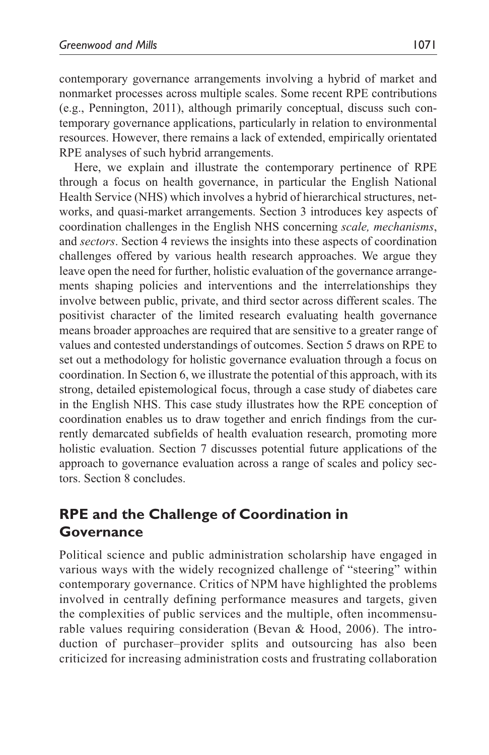contemporary governance arrangements involving a hybrid of market and nonmarket processes across multiple scales. Some recent RPE contributions (e.g., Pennington, 2011), although primarily conceptual, discuss such contemporary governance applications, particularly in relation to environmental resources. However, there remains a lack of extended, empirically orientated RPE analyses of such hybrid arrangements.

Here, we explain and illustrate the contemporary pertinence of RPE through a focus on health governance, in particular the English National Health Service (NHS) which involves a hybrid of hierarchical structures, networks, and quasi-market arrangements. Section 3 introduces key aspects of coordination challenges in the English NHS concerning *scale, mechanisms*, and *sectors*. Section 4 reviews the insights into these aspects of coordination challenges offered by various health research approaches. We argue they leave open the need for further, holistic evaluation of the governance arrangements shaping policies and interventions and the interrelationships they involve between public, private, and third sector across different scales. The positivist character of the limited research evaluating health governance means broader approaches are required that are sensitive to a greater range of values and contested understandings of outcomes. Section 5 draws on RPE to set out a methodology for holistic governance evaluation through a focus on coordination. In Section 6, we illustrate the potential of this approach, with its strong, detailed epistemological focus, through a case study of diabetes care in the English NHS. This case study illustrates how the RPE conception of coordination enables us to draw together and enrich findings from the currently demarcated subfields of health evaluation research, promoting more holistic evaluation. Section 7 discusses potential future applications of the approach to governance evaluation across a range of scales and policy sectors. Section 8 concludes.

# **RPE and the Challenge of Coordination in Governance**

Political science and public administration scholarship have engaged in various ways with the widely recognized challenge of "steering" within contemporary governance. Critics of NPM have highlighted the problems involved in centrally defining performance measures and targets, given the complexities of public services and the multiple, often incommensurable values requiring consideration (Bevan & Hood, 2006). The introduction of purchaser–provider splits and outsourcing has also been criticized for increasing administration costs and frustrating collaboration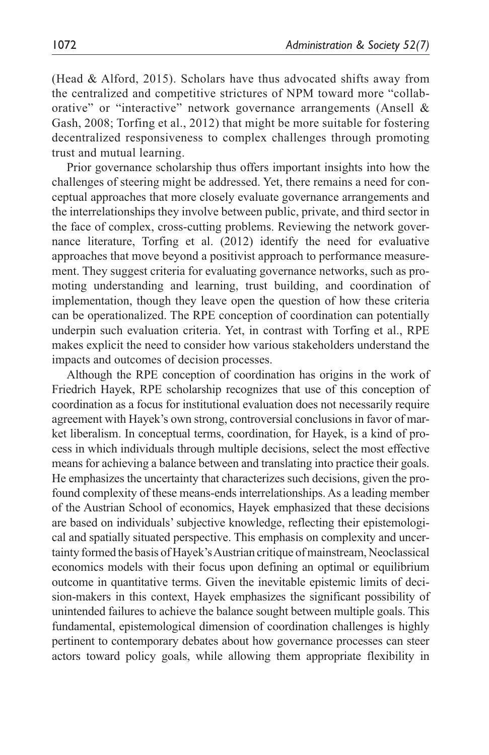(Head & Alford, 2015). Scholars have thus advocated shifts away from the centralized and competitive strictures of NPM toward more "collaborative" or "interactive" network governance arrangements (Ansell & Gash, 2008; Torfing et al., 2012) that might be more suitable for fostering decentralized responsiveness to complex challenges through promoting trust and mutual learning.

Prior governance scholarship thus offers important insights into how the challenges of steering might be addressed. Yet, there remains a need for conceptual approaches that more closely evaluate governance arrangements and the interrelationships they involve between public, private, and third sector in the face of complex, cross-cutting problems. Reviewing the network governance literature, Torfing et al. (2012) identify the need for evaluative approaches that move beyond a positivist approach to performance measurement. They suggest criteria for evaluating governance networks, such as promoting understanding and learning, trust building, and coordination of implementation, though they leave open the question of how these criteria can be operationalized. The RPE conception of coordination can potentially underpin such evaluation criteria. Yet, in contrast with Torfing et al., RPE makes explicit the need to consider how various stakeholders understand the impacts and outcomes of decision processes.

Although the RPE conception of coordination has origins in the work of Friedrich Hayek, RPE scholarship recognizes that use of this conception of coordination as a focus for institutional evaluation does not necessarily require agreement with Hayek's own strong, controversial conclusions in favor of market liberalism. In conceptual terms, coordination, for Hayek, is a kind of process in which individuals through multiple decisions, select the most effective means for achieving a balance between and translating into practice their goals. He emphasizes the uncertainty that characterizes such decisions, given the profound complexity of these means-ends interrelationships. As a leading member of the Austrian School of economics, Hayek emphasized that these decisions are based on individuals' subjective knowledge, reflecting their epistemological and spatially situated perspective. This emphasis on complexity and uncertainty formed the basis of Hayek's Austrian critique of mainstream, Neoclassical economics models with their focus upon defining an optimal or equilibrium outcome in quantitative terms. Given the inevitable epistemic limits of decision-makers in this context, Hayek emphasizes the significant possibility of unintended failures to achieve the balance sought between multiple goals. This fundamental, epistemological dimension of coordination challenges is highly pertinent to contemporary debates about how governance processes can steer actors toward policy goals, while allowing them appropriate flexibility in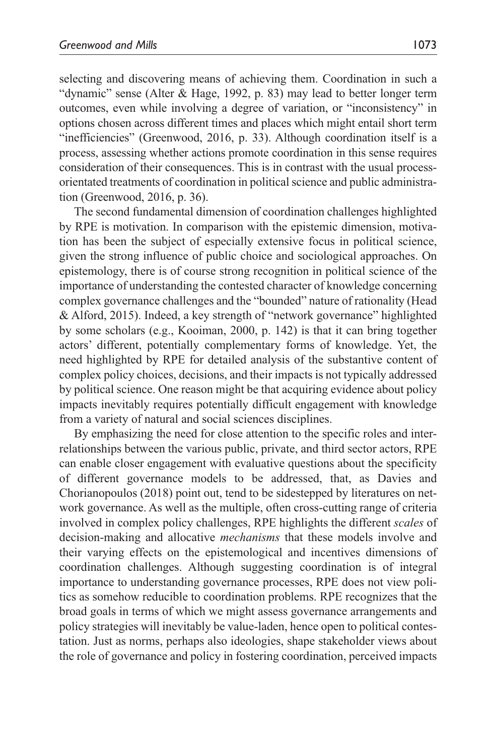selecting and discovering means of achieving them. Coordination in such a "dynamic" sense (Alter & Hage, 1992, p. 83) may lead to better longer term outcomes, even while involving a degree of variation, or "inconsistency" in options chosen across different times and places which might entail short term "inefficiencies" (Greenwood, 2016, p. 33). Although coordination itself is a process, assessing whether actions promote coordination in this sense requires consideration of their consequences. This is in contrast with the usual processorientated treatments of coordination in political science and public administration (Greenwood, 2016, p. 36).

The second fundamental dimension of coordination challenges highlighted by RPE is motivation. In comparison with the epistemic dimension, motivation has been the subject of especially extensive focus in political science, given the strong influence of public choice and sociological approaches. On epistemology, there is of course strong recognition in political science of the importance of understanding the contested character of knowledge concerning complex governance challenges and the "bounded" nature of rationality (Head & Alford, 2015). Indeed, a key strength of "network governance" highlighted by some scholars (e.g., Kooiman, 2000, p. 142) is that it can bring together actors' different, potentially complementary forms of knowledge. Yet, the need highlighted by RPE for detailed analysis of the substantive content of complex policy choices, decisions, and their impacts is not typically addressed by political science. One reason might be that acquiring evidence about policy impacts inevitably requires potentially difficult engagement with knowledge from a variety of natural and social sciences disciplines.

By emphasizing the need for close attention to the specific roles and interrelationships between the various public, private, and third sector actors, RPE can enable closer engagement with evaluative questions about the specificity of different governance models to be addressed, that, as Davies and Chorianopoulos (2018) point out, tend to be sidestepped by literatures on network governance. As well as the multiple, often cross-cutting range of criteria involved in complex policy challenges, RPE highlights the different *scales* of decision-making and allocative *mechanisms* that these models involve and their varying effects on the epistemological and incentives dimensions of coordination challenges. Although suggesting coordination is of integral importance to understanding governance processes, RPE does not view politics as somehow reducible to coordination problems. RPE recognizes that the broad goals in terms of which we might assess governance arrangements and policy strategies will inevitably be value-laden, hence open to political contestation. Just as norms, perhaps also ideologies, shape stakeholder views about the role of governance and policy in fostering coordination, perceived impacts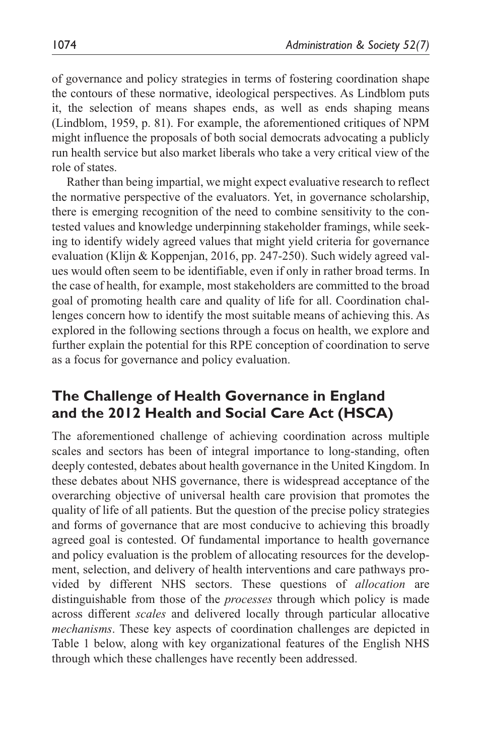of governance and policy strategies in terms of fostering coordination shape the contours of these normative, ideological perspectives. As Lindblom puts it, the selection of means shapes ends, as well as ends shaping means (Lindblom, 1959, p. 81). For example, the aforementioned critiques of NPM might influence the proposals of both social democrats advocating a publicly run health service but also market liberals who take a very critical view of the role of states.

Rather than being impartial, we might expect evaluative research to reflect the normative perspective of the evaluators. Yet, in governance scholarship, there is emerging recognition of the need to combine sensitivity to the contested values and knowledge underpinning stakeholder framings, while seeking to identify widely agreed values that might yield criteria for governance evaluation (Klijn & Koppenjan, 2016, pp. 247-250). Such widely agreed values would often seem to be identifiable, even if only in rather broad terms. In the case of health, for example, most stakeholders are committed to the broad goal of promoting health care and quality of life for all. Coordination challenges concern how to identify the most suitable means of achieving this. As explored in the following sections through a focus on health, we explore and further explain the potential for this RPE conception of coordination to serve as a focus for governance and policy evaluation.

## **The Challenge of Health Governance in England and the 2012 Health and Social Care Act (HSCA)**

The aforementioned challenge of achieving coordination across multiple scales and sectors has been of integral importance to long-standing, often deeply contested, debates about health governance in the United Kingdom. In these debates about NHS governance, there is widespread acceptance of the overarching objective of universal health care provision that promotes the quality of life of all patients. But the question of the precise policy strategies and forms of governance that are most conducive to achieving this broadly agreed goal is contested. Of fundamental importance to health governance and policy evaluation is the problem of allocating resources for the development, selection, and delivery of health interventions and care pathways provided by different NHS sectors. These questions of *allocation* are distinguishable from those of the *processes* through which policy is made across different *scales* and delivered locally through particular allocative *mechanisms*. These key aspects of coordination challenges are depicted in Table 1 below, along with key organizational features of the English NHS through which these challenges have recently been addressed.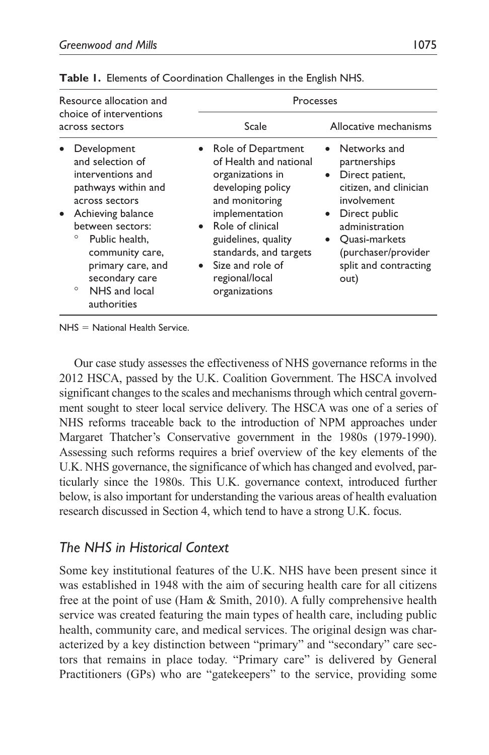| Resource allocation and<br>choice of interventions<br>across sectors                                                                                                                                                                                                                  | Processes                                                                                                                                                                                                                                                            |                                                                                                                                                                                                                             |
|---------------------------------------------------------------------------------------------------------------------------------------------------------------------------------------------------------------------------------------------------------------------------------------|----------------------------------------------------------------------------------------------------------------------------------------------------------------------------------------------------------------------------------------------------------------------|-----------------------------------------------------------------------------------------------------------------------------------------------------------------------------------------------------------------------------|
|                                                                                                                                                                                                                                                                                       | Scale                                                                                                                                                                                                                                                                | Allocative mechanisms                                                                                                                                                                                                       |
| Development<br>and selection of<br>interventions and<br>pathways within and<br>across sectors<br>Achieving balance<br>$\bullet$<br>between sectors:<br>$\circ$<br>Public health,<br>community care,<br>primary care, and<br>secondary care<br>$\circ$<br>NHS and local<br>authorities | Role of Department<br>of Health and national<br>organizations in<br>developing policy<br>and monitoring<br>implementation<br>• Role of clinical<br>guidelines, quality<br>standards, and targets<br>Size and role of<br>$\bullet$<br>regional/local<br>organizations | $\bullet$ Networks and<br>partnerships<br>Direct patient,<br>citizen, and clinician<br>involvement<br>Direct public<br>$\bullet$<br>administration<br>Quasi-markets<br>(purchaser/provider<br>split and contracting<br>out) |

**Table 1.** Elements of Coordination Challenges in the English NHS.

NHS = National Health Service.

Our case study assesses the effectiveness of NHS governance reforms in the 2012 HSCA, passed by the U.K. Coalition Government. The HSCA involved significant changes to the scales and mechanisms through which central government sought to steer local service delivery. The HSCA was one of a series of NHS reforms traceable back to the introduction of NPM approaches under Margaret Thatcher's Conservative government in the 1980s (1979-1990). Assessing such reforms requires a brief overview of the key elements of the U.K. NHS governance, the significance of which has changed and evolved, particularly since the 1980s. This U.K. governance context, introduced further below, is also important for understanding the various areas of health evaluation research discussed in Section 4, which tend to have a strong U.K. focus.

### *The NHS in Historical Context*

Some key institutional features of the U.K. NHS have been present since it was established in 1948 with the aim of securing health care for all citizens free at the point of use (Ham & Smith, 2010). A fully comprehensive health service was created featuring the main types of health care, including public health, community care, and medical services. The original design was characterized by a key distinction between "primary" and "secondary" care sectors that remains in place today. "Primary care" is delivered by General Practitioners (GPs) who are "gatekeepers" to the service, providing some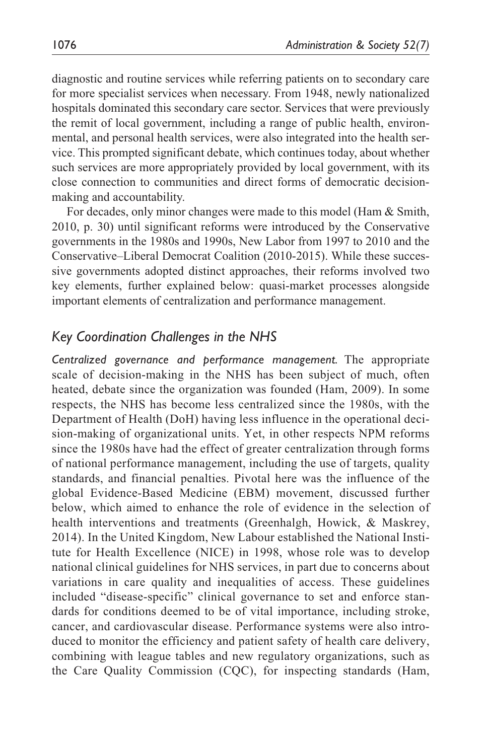diagnostic and routine services while referring patients on to secondary care for more specialist services when necessary. From 1948, newly nationalized hospitals dominated this secondary care sector. Services that were previously the remit of local government, including a range of public health, environmental, and personal health services, were also integrated into the health service. This prompted significant debate, which continues today, about whether such services are more appropriately provided by local government, with its close connection to communities and direct forms of democratic decisionmaking and accountability.

For decades, only minor changes were made to this model (Ham & Smith, 2010, p. 30) until significant reforms were introduced by the Conservative governments in the 1980s and 1990s, New Labor from 1997 to 2010 and the Conservative–Liberal Democrat Coalition (2010-2015). While these successive governments adopted distinct approaches, their reforms involved two key elements, further explained below: quasi-market processes alongside important elements of centralization and performance management.

#### *Key Coordination Challenges in the NHS*

*Centralized governance and performance management.* The appropriate scale of decision-making in the NHS has been subject of much, often heated, debate since the organization was founded (Ham, 2009). In some respects, the NHS has become less centralized since the 1980s, with the Department of Health (DoH) having less influence in the operational decision-making of organizational units. Yet, in other respects NPM reforms since the 1980s have had the effect of greater centralization through forms of national performance management, including the use of targets, quality standards, and financial penalties. Pivotal here was the influence of the global Evidence-Based Medicine (EBM) movement, discussed further below, which aimed to enhance the role of evidence in the selection of health interventions and treatments (Greenhalgh, Howick, & Maskrey, 2014). In the United Kingdom, New Labour established the National Institute for Health Excellence (NICE) in 1998, whose role was to develop national clinical guidelines for NHS services, in part due to concerns about variations in care quality and inequalities of access. These guidelines included "disease-specific" clinical governance to set and enforce standards for conditions deemed to be of vital importance, including stroke, cancer, and cardiovascular disease. Performance systems were also introduced to monitor the efficiency and patient safety of health care delivery, combining with league tables and new regulatory organizations, such as the Care Quality Commission (CQC), for inspecting standards (Ham,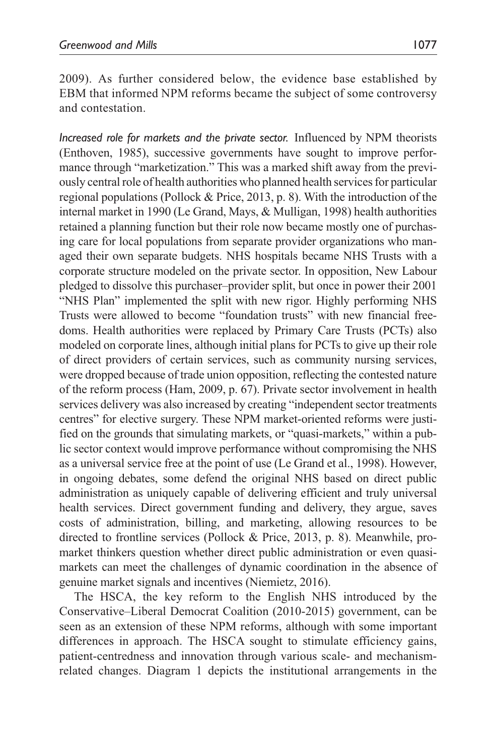2009). As further considered below, the evidence base established by EBM that informed NPM reforms became the subject of some controversy and contestation.

*Increased role for markets and the private sector.* Influenced by NPM theorists (Enthoven, 1985), successive governments have sought to improve performance through "marketization." This was a marked shift away from the previously central role of health authorities who planned health services for particular regional populations (Pollock & Price, 2013, p. 8). With the introduction of the internal market in 1990 (Le Grand, Mays, & Mulligan, 1998) health authorities retained a planning function but their role now became mostly one of purchasing care for local populations from separate provider organizations who managed their own separate budgets. NHS hospitals became NHS Trusts with a corporate structure modeled on the private sector. In opposition, New Labour pledged to dissolve this purchaser–provider split, but once in power their 2001 "NHS Plan" implemented the split with new rigor. Highly performing NHS Trusts were allowed to become "foundation trusts" with new financial freedoms. Health authorities were replaced by Primary Care Trusts (PCTs) also modeled on corporate lines, although initial plans for PCTs to give up their role of direct providers of certain services, such as community nursing services, were dropped because of trade union opposition, reflecting the contested nature of the reform process (Ham, 2009, p. 67). Private sector involvement in health services delivery was also increased by creating "independent sector treatments centres" for elective surgery. These NPM market-oriented reforms were justified on the grounds that simulating markets, or "quasi-markets," within a public sector context would improve performance without compromising the NHS as a universal service free at the point of use (Le Grand et al., 1998). However, in ongoing debates, some defend the original NHS based on direct public administration as uniquely capable of delivering efficient and truly universal health services. Direct government funding and delivery, they argue, saves costs of administration, billing, and marketing, allowing resources to be directed to frontline services (Pollock & Price, 2013, p. 8). Meanwhile, promarket thinkers question whether direct public administration or even quasimarkets can meet the challenges of dynamic coordination in the absence of genuine market signals and incentives (Niemietz, 2016).

The HSCA, the key reform to the English NHS introduced by the Conservative–Liberal Democrat Coalition (2010-2015) government, can be seen as an extension of these NPM reforms, although with some important differences in approach. The HSCA sought to stimulate efficiency gains, patient-centredness and innovation through various scale- and mechanismrelated changes. Diagram 1 depicts the institutional arrangements in the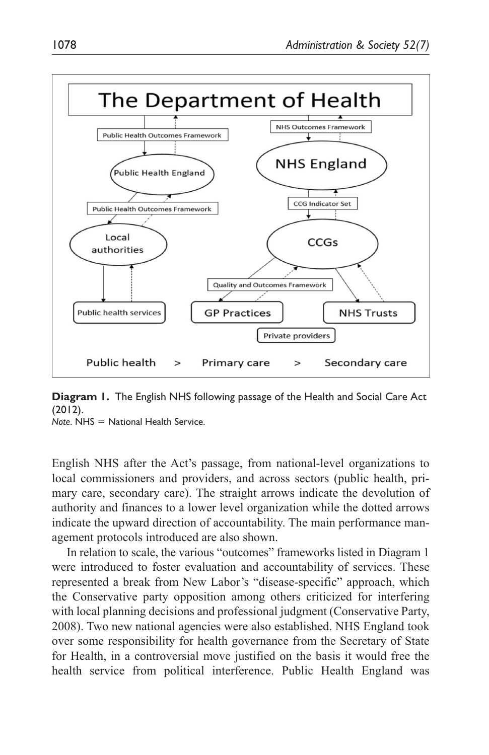

**Diagram 1.** The English NHS following passage of the Health and Social Care Act (2012).

*Note*. NHS = National Health Service.

English NHS after the Act's passage, from national-level organizations to local commissioners and providers, and across sectors (public health, primary care, secondary care). The straight arrows indicate the devolution of authority and finances to a lower level organization while the dotted arrows indicate the upward direction of accountability. The main performance management protocols introduced are also shown.

In relation to scale, the various "outcomes" frameworks listed in Diagram 1 were introduced to foster evaluation and accountability of services. These represented a break from New Labor's "disease-specific" approach, which the Conservative party opposition among others criticized for interfering with local planning decisions and professional judgment (Conservative Party, 2008). Two new national agencies were also established. NHS England took over some responsibility for health governance from the Secretary of State for Health, in a controversial move justified on the basis it would free the health service from political interference. Public Health England was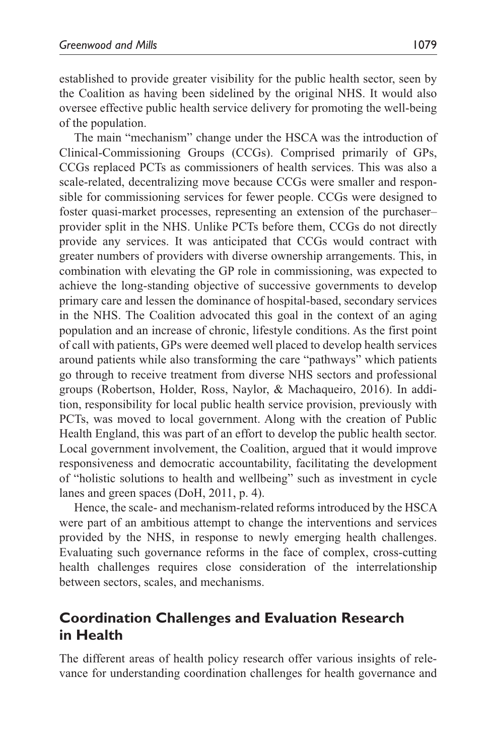established to provide greater visibility for the public health sector, seen by the Coalition as having been sidelined by the original NHS. It would also oversee effective public health service delivery for promoting the well-being of the population.

The main "mechanism" change under the HSCA was the introduction of Clinical-Commissioning Groups (CCGs). Comprised primarily of GPs, CCGs replaced PCTs as commissioners of health services. This was also a scale-related, decentralizing move because CCGs were smaller and responsible for commissioning services for fewer people. CCGs were designed to foster quasi-market processes, representing an extension of the purchaser– provider split in the NHS. Unlike PCTs before them, CCGs do not directly provide any services. It was anticipated that CCGs would contract with greater numbers of providers with diverse ownership arrangements. This, in combination with elevating the GP role in commissioning, was expected to achieve the long-standing objective of successive governments to develop primary care and lessen the dominance of hospital-based, secondary services in the NHS. The Coalition advocated this goal in the context of an aging population and an increase of chronic, lifestyle conditions. As the first point of call with patients, GPs were deemed well placed to develop health services around patients while also transforming the care "pathways" which patients go through to receive treatment from diverse NHS sectors and professional groups (Robertson, Holder, Ross, Naylor, & Machaqueiro, 2016). In addition, responsibility for local public health service provision, previously with PCTs, was moved to local government. Along with the creation of Public Health England, this was part of an effort to develop the public health sector. Local government involvement, the Coalition, argued that it would improve responsiveness and democratic accountability, facilitating the development of "holistic solutions to health and wellbeing" such as investment in cycle lanes and green spaces (DoH, 2011, p. 4).

Hence, the scale- and mechanism-related reforms introduced by the HSCA were part of an ambitious attempt to change the interventions and services provided by the NHS, in response to newly emerging health challenges. Evaluating such governance reforms in the face of complex, cross-cutting health challenges requires close consideration of the interrelationship between sectors, scales, and mechanisms.

## **Coordination Challenges and Evaluation Research in Health**

The different areas of health policy research offer various insights of relevance for understanding coordination challenges for health governance and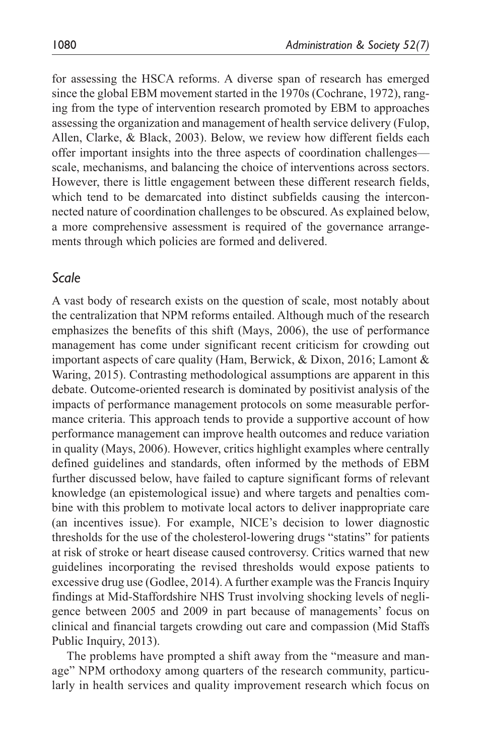for assessing the HSCA reforms. A diverse span of research has emerged since the global EBM movement started in the 1970s (Cochrane, 1972), ranging from the type of intervention research promoted by EBM to approaches assessing the organization and management of health service delivery (Fulop, Allen, Clarke, & Black, 2003). Below, we review how different fields each offer important insights into the three aspects of coordination challenges scale, mechanisms, and balancing the choice of interventions across sectors. However, there is little engagement between these different research fields, which tend to be demarcated into distinct subfields causing the interconnected nature of coordination challenges to be obscured. As explained below, a more comprehensive assessment is required of the governance arrangements through which policies are formed and delivered.

#### *Scale*

A vast body of research exists on the question of scale, most notably about the centralization that NPM reforms entailed. Although much of the research emphasizes the benefits of this shift (Mays, 2006), the use of performance management has come under significant recent criticism for crowding out important aspects of care quality (Ham, Berwick, & Dixon, 2016; Lamont & Waring, 2015). Contrasting methodological assumptions are apparent in this debate. Outcome-oriented research is dominated by positivist analysis of the impacts of performance management protocols on some measurable performance criteria. This approach tends to provide a supportive account of how performance management can improve health outcomes and reduce variation in quality (Mays, 2006). However, critics highlight examples where centrally defined guidelines and standards, often informed by the methods of EBM further discussed below, have failed to capture significant forms of relevant knowledge (an epistemological issue) and where targets and penalties combine with this problem to motivate local actors to deliver inappropriate care (an incentives issue). For example, NICE's decision to lower diagnostic thresholds for the use of the cholesterol-lowering drugs "statins" for patients at risk of stroke or heart disease caused controversy. Critics warned that new guidelines incorporating the revised thresholds would expose patients to excessive drug use (Godlee, 2014). A further example was the Francis Inquiry findings at Mid-Staffordshire NHS Trust involving shocking levels of negligence between 2005 and 2009 in part because of managements' focus on clinical and financial targets crowding out care and compassion (Mid Staffs Public Inquiry, 2013).

The problems have prompted a shift away from the "measure and manage" NPM orthodoxy among quarters of the research community, particularly in health services and quality improvement research which focus on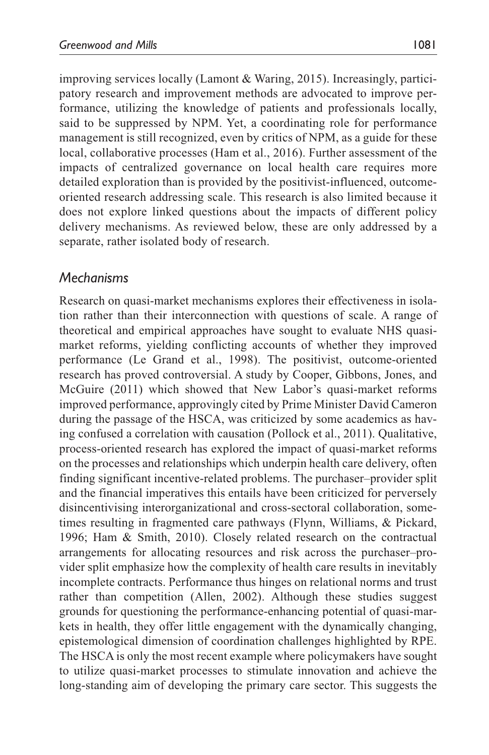improving services locally (Lamont & Waring, 2015). Increasingly, participatory research and improvement methods are advocated to improve performance, utilizing the knowledge of patients and professionals locally, said to be suppressed by NPM. Yet, a coordinating role for performance management is still recognized, even by critics of NPM, as a guide for these local, collaborative processes (Ham et al., 2016). Further assessment of the impacts of centralized governance on local health care requires more detailed exploration than is provided by the positivist-influenced, outcomeoriented research addressing scale. This research is also limited because it does not explore linked questions about the impacts of different policy delivery mechanisms. As reviewed below, these are only addressed by a separate, rather isolated body of research.

### *Mechanisms*

Research on quasi-market mechanisms explores their effectiveness in isolation rather than their interconnection with questions of scale. A range of theoretical and empirical approaches have sought to evaluate NHS quasimarket reforms, yielding conflicting accounts of whether they improved performance (Le Grand et al., 1998). The positivist, outcome-oriented research has proved controversial. A study by Cooper, Gibbons, Jones, and McGuire (2011) which showed that New Labor's quasi-market reforms improved performance, approvingly cited by Prime Minister David Cameron during the passage of the HSCA, was criticized by some academics as having confused a correlation with causation (Pollock et al., 2011). Qualitative, process-oriented research has explored the impact of quasi-market reforms on the processes and relationships which underpin health care delivery, often finding significant incentive-related problems. The purchaser–provider split and the financial imperatives this entails have been criticized for perversely disincentivising interorganizational and cross-sectoral collaboration, sometimes resulting in fragmented care pathways (Flynn, Williams, & Pickard, 1996; Ham & Smith, 2010). Closely related research on the contractual arrangements for allocating resources and risk across the purchaser–provider split emphasize how the complexity of health care results in inevitably incomplete contracts. Performance thus hinges on relational norms and trust rather than competition (Allen, 2002). Although these studies suggest grounds for questioning the performance-enhancing potential of quasi-markets in health, they offer little engagement with the dynamically changing, epistemological dimension of coordination challenges highlighted by RPE. The HSCA is only the most recent example where policymakers have sought to utilize quasi-market processes to stimulate innovation and achieve the long-standing aim of developing the primary care sector. This suggests the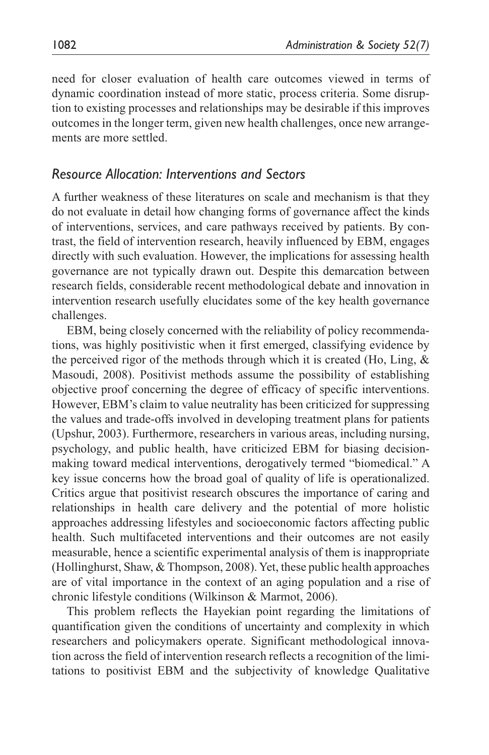need for closer evaluation of health care outcomes viewed in terms of dynamic coordination instead of more static, process criteria. Some disruption to existing processes and relationships may be desirable if this improves outcomes in the longer term, given new health challenges, once new arrangements are more settled.

### *Resource Allocation: Interventions and Sectors*

A further weakness of these literatures on scale and mechanism is that they do not evaluate in detail how changing forms of governance affect the kinds of interventions, services, and care pathways received by patients. By contrast, the field of intervention research, heavily influenced by EBM, engages directly with such evaluation. However, the implications for assessing health governance are not typically drawn out. Despite this demarcation between research fields, considerable recent methodological debate and innovation in intervention research usefully elucidates some of the key health governance challenges.

EBM, being closely concerned with the reliability of policy recommendations, was highly positivistic when it first emerged, classifying evidence by the perceived rigor of the methods through which it is created (Ho, Ling,  $\&$ Masoudi, 2008). Positivist methods assume the possibility of establishing objective proof concerning the degree of efficacy of specific interventions. However, EBM's claim to value neutrality has been criticized for suppressing the values and trade-offs involved in developing treatment plans for patients (Upshur, 2003). Furthermore, researchers in various areas, including nursing, psychology, and public health, have criticized EBM for biasing decisionmaking toward medical interventions, derogatively termed "biomedical." A key issue concerns how the broad goal of quality of life is operationalized. Critics argue that positivist research obscures the importance of caring and relationships in health care delivery and the potential of more holistic approaches addressing lifestyles and socioeconomic factors affecting public health. Such multifaceted interventions and their outcomes are not easily measurable, hence a scientific experimental analysis of them is inappropriate (Hollinghurst, Shaw, & Thompson, 2008). Yet, these public health approaches are of vital importance in the context of an aging population and a rise of chronic lifestyle conditions (Wilkinson & Marmot, 2006).

This problem reflects the Hayekian point regarding the limitations of quantification given the conditions of uncertainty and complexity in which researchers and policymakers operate. Significant methodological innovation across the field of intervention research reflects a recognition of the limitations to positivist EBM and the subjectivity of knowledge Qualitative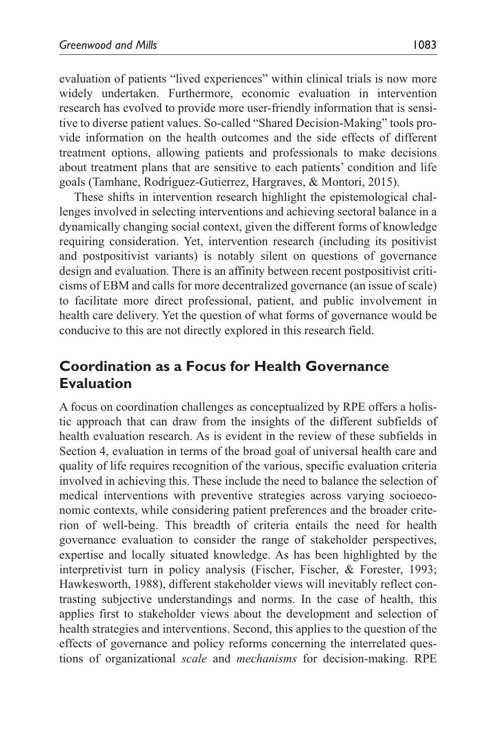evaluation of patients "lived experiences" within clinical trials is now more widely undertaken. Furthermore, economic evaluation in intervention research has evolved to provide more user-friendly information that is sensitive to diverse patient values. So-called "Shared Decision-Making" tools provide information on the health outcomes and the side effects of different treatment options, allowing patients and professionals to make decisions about treatment plans that are sensitive to each patients' condition and life goals (Tamhane, Rodriguez-Gutierrez, Hargraves, & Montori, 2015).

These shifts in intervention research highlight the epistemological challenges involved in selecting interventions and achieving sectoral balance in a dynamically changing social context, given the different forms of knowledge requiring consideration. Yet, intervention research (including its positivist and postpositivist variants) is notably silent on questions of governance design and evaluation. There is an affinity between recent postpositivist criticisms of EBM and calls for more decentralized governance (an issue of scale) to facilitate more direct professional, patient, and public involvement in health care delivery. Yet the question of what forms of governance would be conducive to this are not directly explored in this research field.

# **Coordination as a Focus for Health Governance Evaluation**

A focus on coordination challenges as conceptualized by RPE offers a holistic approach that can draw from the insights of the different subfields of health evaluation research. As is evident in the review of these subfields in Section 4, evaluation in terms of the broad goal of universal health care and quality of life requires recognition of the various, specific evaluation criteria involved in achieving this. These include the need to balance the selection of medical interventions with preventive strategies across varying socioeconomic contexts, while considering patient preferences and the broader criterion of well-being. This breadth of criteria entails the need for health governance evaluation to consider the range of stakeholder perspectives, expertise and locally situated knowledge. As has been highlighted by the interpretivist turn in policy analysis (Fischer, Fischer, & Forester, 1993; Hawkesworth, 1988), different stakeholder views will inevitably reflect contrasting subjective understandings and norms. In the case of health, this applies first to stakeholder views about the development and selection of health strategies and interventions. Second, this applies to the question of the effects of governance and policy reforms concerning the interrelated questions of organizational *scale* and *mechanisms* for decision-making. RPE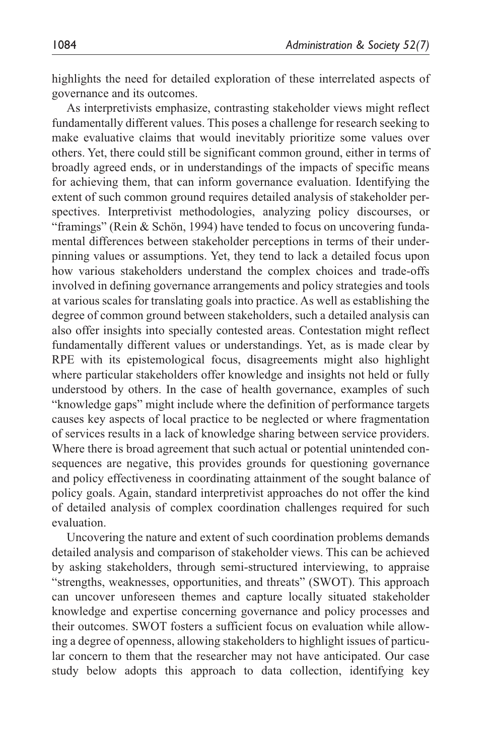highlights the need for detailed exploration of these interrelated aspects of governance and its outcomes.

As interpretivists emphasize, contrasting stakeholder views might reflect fundamentally different values. This poses a challenge for research seeking to make evaluative claims that would inevitably prioritize some values over others. Yet, there could still be significant common ground, either in terms of broadly agreed ends, or in understandings of the impacts of specific means for achieving them, that can inform governance evaluation. Identifying the extent of such common ground requires detailed analysis of stakeholder perspectives. Interpretivist methodologies, analyzing policy discourses, or "framings" (Rein & Schön, 1994) have tended to focus on uncovering fundamental differences between stakeholder perceptions in terms of their underpinning values or assumptions. Yet, they tend to lack a detailed focus upon how various stakeholders understand the complex choices and trade-offs involved in defining governance arrangements and policy strategies and tools at various scales for translating goals into practice. As well as establishing the degree of common ground between stakeholders, such a detailed analysis can also offer insights into specially contested areas. Contestation might reflect fundamentally different values or understandings. Yet, as is made clear by RPE with its epistemological focus, disagreements might also highlight where particular stakeholders offer knowledge and insights not held or fully understood by others. In the case of health governance, examples of such "knowledge gaps" might include where the definition of performance targets causes key aspects of local practice to be neglected or where fragmentation of services results in a lack of knowledge sharing between service providers. Where there is broad agreement that such actual or potential unintended consequences are negative, this provides grounds for questioning governance and policy effectiveness in coordinating attainment of the sought balance of policy goals. Again, standard interpretivist approaches do not offer the kind of detailed analysis of complex coordination challenges required for such evaluation.

Uncovering the nature and extent of such coordination problems demands detailed analysis and comparison of stakeholder views. This can be achieved by asking stakeholders, through semi-structured interviewing, to appraise "strengths, weaknesses, opportunities, and threats" (SWOT). This approach can uncover unforeseen themes and capture locally situated stakeholder knowledge and expertise concerning governance and policy processes and their outcomes. SWOT fosters a sufficient focus on evaluation while allowing a degree of openness, allowing stakeholders to highlight issues of particular concern to them that the researcher may not have anticipated. Our case study below adopts this approach to data collection, identifying key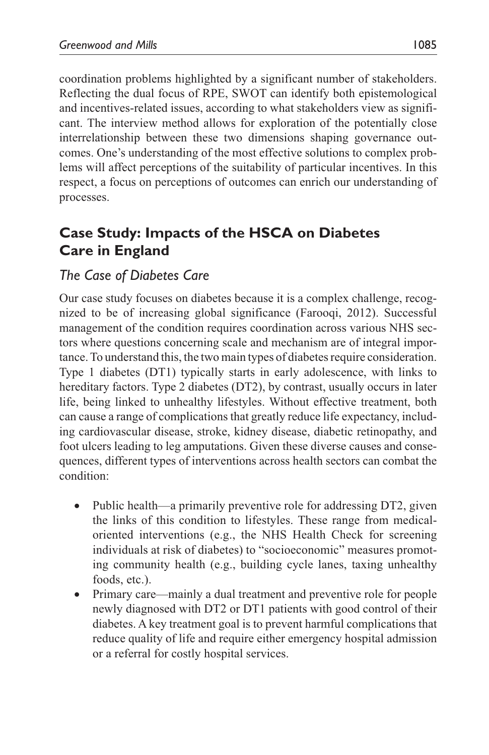coordination problems highlighted by a significant number of stakeholders. Reflecting the dual focus of RPE, SWOT can identify both epistemological and incentives-related issues, according to what stakeholders view as significant. The interview method allows for exploration of the potentially close interrelationship between these two dimensions shaping governance outcomes. One's understanding of the most effective solutions to complex problems will affect perceptions of the suitability of particular incentives. In this respect, a focus on perceptions of outcomes can enrich our understanding of processes.

# **Case Study: Impacts of the HSCA on Diabetes Care in England**

## *The Case of Diabetes Care*

Our case study focuses on diabetes because it is a complex challenge, recognized to be of increasing global significance (Farooqi, 2012). Successful management of the condition requires coordination across various NHS sectors where questions concerning scale and mechanism are of integral importance. To understand this, the two main types of diabetes require consideration. Type 1 diabetes (DT1) typically starts in early adolescence, with links to hereditary factors. Type 2 diabetes (DT2), by contrast, usually occurs in later life, being linked to unhealthy lifestyles. Without effective treatment, both can cause a range of complications that greatly reduce life expectancy, including cardiovascular disease, stroke, kidney disease, diabetic retinopathy, and foot ulcers leading to leg amputations. Given these diverse causes and consequences, different types of interventions across health sectors can combat the condition:

- Public health—a primarily preventive role for addressing DT2, given the links of this condition to lifestyles. These range from medicaloriented interventions (e.g., the NHS Health Check for screening individuals at risk of diabetes) to "socioeconomic" measures promoting community health (e.g., building cycle lanes, taxing unhealthy foods, etc.).
- Primary care—mainly a dual treatment and preventive role for people newly diagnosed with DT2 or DT1 patients with good control of their diabetes. A key treatment goal is to prevent harmful complications that reduce quality of life and require either emergency hospital admission or a referral for costly hospital services.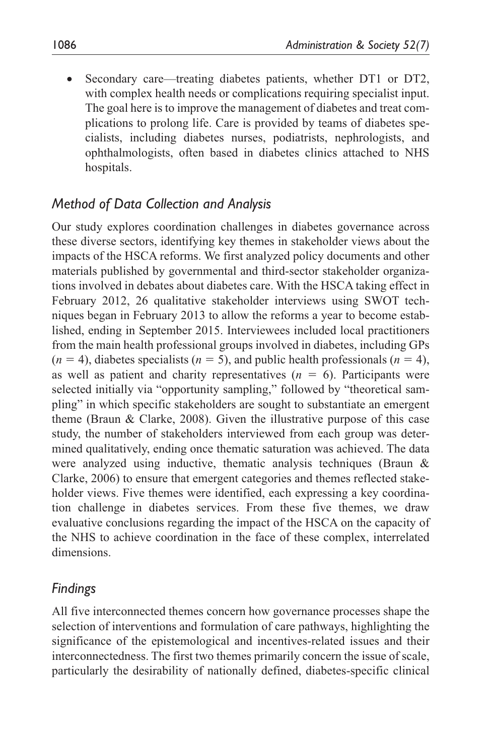• Secondary care—treating diabetes patients, whether DT1 or DT2, with complex health needs or complications requiring specialist input. The goal here is to improve the management of diabetes and treat complications to prolong life. Care is provided by teams of diabetes specialists, including diabetes nurses, podiatrists, nephrologists, and ophthalmologists, often based in diabetes clinics attached to NHS hospitals.

### *Method of Data Collection and Analysis*

Our study explores coordination challenges in diabetes governance across these diverse sectors, identifying key themes in stakeholder views about the impacts of the HSCA reforms. We first analyzed policy documents and other materials published by governmental and third-sector stakeholder organizations involved in debates about diabetes care. With the HSCA taking effect in February 2012, 26 qualitative stakeholder interviews using SWOT techniques began in February 2013 to allow the reforms a year to become established, ending in September 2015. Interviewees included local practitioners from the main health professional groups involved in diabetes, including GPs  $(n = 4)$ , diabetes specialists  $(n = 5)$ , and public health professionals  $(n = 4)$ , as well as patient and charity representatives  $(n = 6)$ . Participants were selected initially via "opportunity sampling," followed by "theoretical sampling" in which specific stakeholders are sought to substantiate an emergent theme (Braun  $\&$  Clarke, 2008). Given the illustrative purpose of this case study, the number of stakeholders interviewed from each group was determined qualitatively, ending once thematic saturation was achieved. The data were analyzed using inductive, thematic analysis techniques (Braun & Clarke, 2006) to ensure that emergent categories and themes reflected stakeholder views. Five themes were identified, each expressing a key coordination challenge in diabetes services. From these five themes, we draw evaluative conclusions regarding the impact of the HSCA on the capacity of the NHS to achieve coordination in the face of these complex, interrelated dimensions.

#### *Findings*

All five interconnected themes concern how governance processes shape the selection of interventions and formulation of care pathways, highlighting the significance of the epistemological and incentives-related issues and their interconnectedness. The first two themes primarily concern the issue of scale, particularly the desirability of nationally defined, diabetes-specific clinical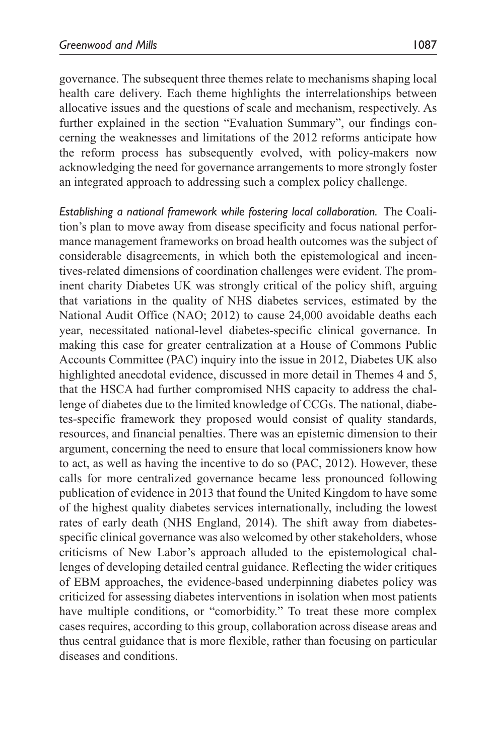governance. The subsequent three themes relate to mechanisms shaping local health care delivery. Each theme highlights the interrelationships between allocative issues and the questions of scale and mechanism, respectively. As further explained in the section "Evaluation Summary", our findings concerning the weaknesses and limitations of the 2012 reforms anticipate how the reform process has subsequently evolved, with policy-makers now acknowledging the need for governance arrangements to more strongly foster an integrated approach to addressing such a complex policy challenge.

*Establishing a national framework while fostering local collaboration.* The Coalition's plan to move away from disease specificity and focus national performance management frameworks on broad health outcomes was the subject of considerable disagreements, in which both the epistemological and incentives-related dimensions of coordination challenges were evident. The prominent charity Diabetes UK was strongly critical of the policy shift, arguing that variations in the quality of NHS diabetes services, estimated by the National Audit Office (NAO; 2012) to cause 24,000 avoidable deaths each year, necessitated national-level diabetes-specific clinical governance. In making this case for greater centralization at a House of Commons Public Accounts Committee (PAC) inquiry into the issue in 2012, Diabetes UK also highlighted anecdotal evidence, discussed in more detail in Themes 4 and 5, that the HSCA had further compromised NHS capacity to address the challenge of diabetes due to the limited knowledge of CCGs. The national, diabetes-specific framework they proposed would consist of quality standards, resources, and financial penalties. There was an epistemic dimension to their argument, concerning the need to ensure that local commissioners know how to act, as well as having the incentive to do so (PAC, 2012). However, these calls for more centralized governance became less pronounced following publication of evidence in 2013 that found the United Kingdom to have some of the highest quality diabetes services internationally, including the lowest rates of early death (NHS England, 2014). The shift away from diabetesspecific clinical governance was also welcomed by other stakeholders, whose criticisms of New Labor's approach alluded to the epistemological challenges of developing detailed central guidance. Reflecting the wider critiques of EBM approaches, the evidence-based underpinning diabetes policy was criticized for assessing diabetes interventions in isolation when most patients have multiple conditions, or "comorbidity." To treat these more complex cases requires, according to this group, collaboration across disease areas and thus central guidance that is more flexible, rather than focusing on particular diseases and conditions.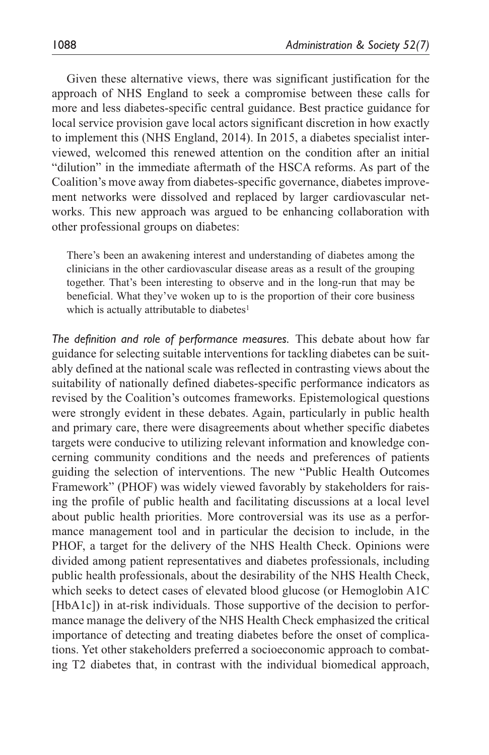Given these alternative views, there was significant justification for the approach of NHS England to seek a compromise between these calls for more and less diabetes-specific central guidance. Best practice guidance for local service provision gave local actors significant discretion in how exactly to implement this (NHS England, 2014). In 2015, a diabetes specialist interviewed, welcomed this renewed attention on the condition after an initial "dilution" in the immediate aftermath of the HSCA reforms. As part of the Coalition's move away from diabetes-specific governance, diabetes improvement networks were dissolved and replaced by larger cardiovascular networks. This new approach was argued to be enhancing collaboration with other professional groups on diabetes:

There's been an awakening interest and understanding of diabetes among the clinicians in the other cardiovascular disease areas as a result of the grouping together. That's been interesting to observe and in the long-run that may be beneficial. What they've woken up to is the proportion of their core business which is actually attributable to diabetes<sup>1</sup>

*The definition and role of performance measures.* This debate about how far guidance for selecting suitable interventions for tackling diabetes can be suitably defined at the national scale was reflected in contrasting views about the suitability of nationally defined diabetes-specific performance indicators as revised by the Coalition's outcomes frameworks. Epistemological questions were strongly evident in these debates. Again, particularly in public health and primary care, there were disagreements about whether specific diabetes targets were conducive to utilizing relevant information and knowledge concerning community conditions and the needs and preferences of patients guiding the selection of interventions. The new "Public Health Outcomes Framework" (PHOF) was widely viewed favorably by stakeholders for raising the profile of public health and facilitating discussions at a local level about public health priorities. More controversial was its use as a performance management tool and in particular the decision to include, in the PHOF, a target for the delivery of the NHS Health Check. Opinions were divided among patient representatives and diabetes professionals, including public health professionals, about the desirability of the NHS Health Check, which seeks to detect cases of elevated blood glucose (or Hemoglobin A1C [HbA1c]) in at-risk individuals. Those supportive of the decision to performance manage the delivery of the NHS Health Check emphasized the critical importance of detecting and treating diabetes before the onset of complications. Yet other stakeholders preferred a socioeconomic approach to combating T2 diabetes that, in contrast with the individual biomedical approach,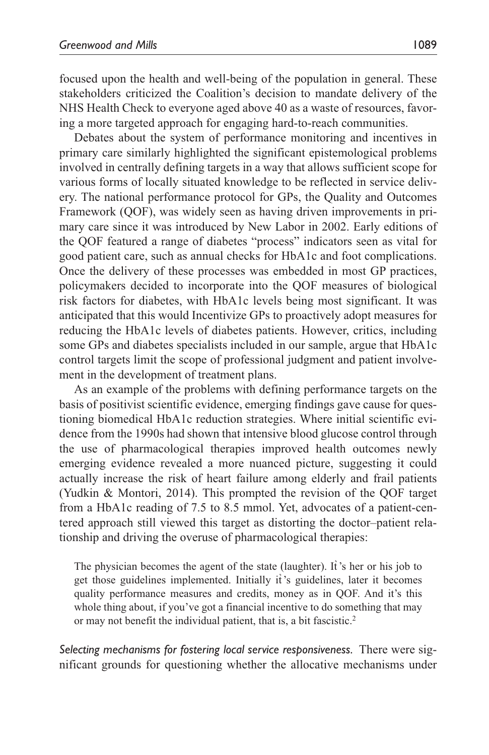focused upon the health and well-being of the population in general. These stakeholders criticized the Coalition's decision to mandate delivery of the NHS Health Check to everyone aged above 40 as a waste of resources, favoring a more targeted approach for engaging hard-to-reach communities.

Debates about the system of performance monitoring and incentives in primary care similarly highlighted the significant epistemological problems involved in centrally defining targets in a way that allows sufficient scope for various forms of locally situated knowledge to be reflected in service delivery. The national performance protocol for GPs, the Quality and Outcomes Framework (QOF), was widely seen as having driven improvements in primary care since it was introduced by New Labor in 2002. Early editions of the QOF featured a range of diabetes "process" indicators seen as vital for good patient care, such as annual checks for HbA1c and foot complications. Once the delivery of these processes was embedded in most GP practices, policymakers decided to incorporate into the QOF measures of biological risk factors for diabetes, with HbA1c levels being most significant. It was anticipated that this would Incentivize GPs to proactively adopt measures for reducing the HbA1c levels of diabetes patients. However, critics, including some GPs and diabetes specialists included in our sample, argue that HbA1c control targets limit the scope of professional judgment and patient involvement in the development of treatment plans.

As an example of the problems with defining performance targets on the basis of positivist scientific evidence, emerging findings gave cause for questioning biomedical HbA1c reduction strategies. Where initial scientific evidence from the 1990s had shown that intensive blood glucose control through the use of pharmacological therapies improved health outcomes newly emerging evidence revealed a more nuanced picture, suggesting it could actually increase the risk of heart failure among elderly and frail patients (Yudkin & Montori, 2014). This prompted the revision of the QOF target from a HbA1c reading of 7.5 to 8.5 mmol. Yet, advocates of a patient-centered approach still viewed this target as distorting the doctor–patient relationship and driving the overuse of pharmacological therapies:

The physician becomes the agent of the state (laughter). It is her or his job to get those guidelines implemented. Initially it's guidelines, later it becomes quality performance measures and credits, money as in QOF. And it's this whole thing about, if you've got a financial incentive to do something that may or may not benefit the individual patient, that is, a bit fascistic.2

*Selecting mechanisms for fostering local service responsiveness.* There were significant grounds for questioning whether the allocative mechanisms under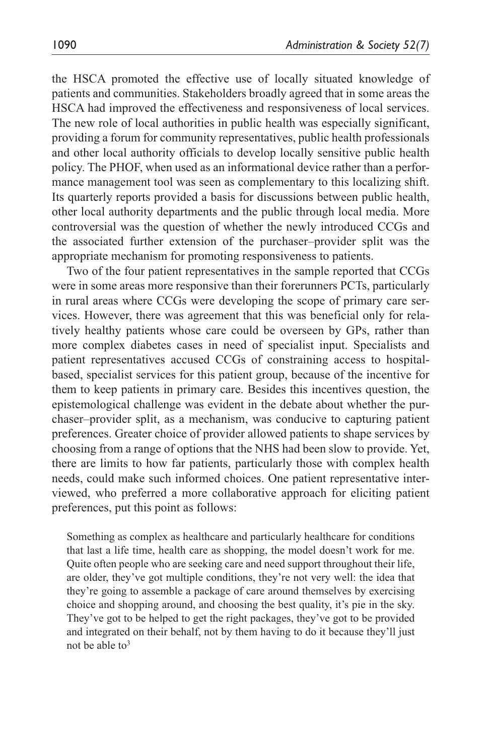the HSCA promoted the effective use of locally situated knowledge of patients and communities. Stakeholders broadly agreed that in some areas the HSCA had improved the effectiveness and responsiveness of local services. The new role of local authorities in public health was especially significant, providing a forum for community representatives, public health professionals and other local authority officials to develop locally sensitive public health policy. The PHOF, when used as an informational device rather than a performance management tool was seen as complementary to this localizing shift. Its quarterly reports provided a basis for discussions between public health, other local authority departments and the public through local media. More controversial was the question of whether the newly introduced CCGs and the associated further extension of the purchaser–provider split was the appropriate mechanism for promoting responsiveness to patients.

Two of the four patient representatives in the sample reported that CCGs were in some areas more responsive than their forerunners PCTs, particularly in rural areas where CCGs were developing the scope of primary care services. However, there was agreement that this was beneficial only for relatively healthy patients whose care could be overseen by GPs, rather than more complex diabetes cases in need of specialist input. Specialists and patient representatives accused CCGs of constraining access to hospitalbased, specialist services for this patient group, because of the incentive for them to keep patients in primary care. Besides this incentives question, the epistemological challenge was evident in the debate about whether the purchaser–provider split, as a mechanism, was conducive to capturing patient preferences. Greater choice of provider allowed patients to shape services by choosing from a range of options that the NHS had been slow to provide. Yet, there are limits to how far patients, particularly those with complex health needs, could make such informed choices. One patient representative interviewed, who preferred a more collaborative approach for eliciting patient preferences, put this point as follows:

Something as complex as healthcare and particularly healthcare for conditions that last a life time, health care as shopping, the model doesn't work for me. Quite often people who are seeking care and need support throughout their life, are older, they've got multiple conditions, they're not very well: the idea that they're going to assemble a package of care around themselves by exercising choice and shopping around, and choosing the best quality, it's pie in the sky. They've got to be helped to get the right packages, they've got to be provided and integrated on their behalf, not by them having to do it because they'll just not be able to3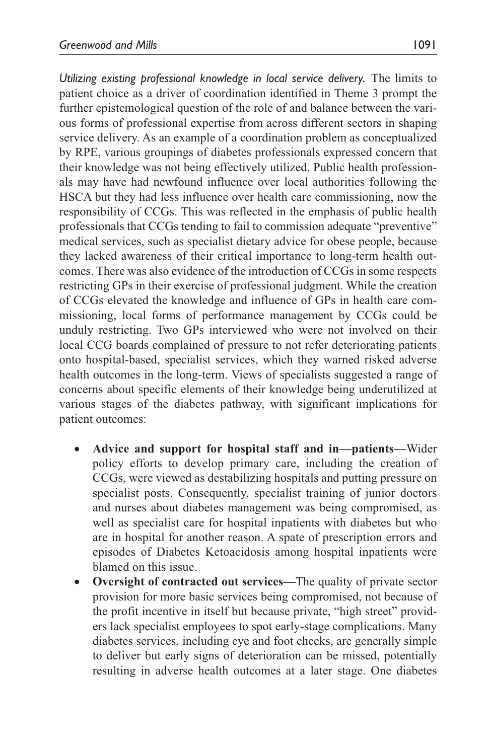*Utilizing existing professional knowledge in local service delivery.* The limits to patient choice as a driver of coordination identified in Theme 3 prompt the further epistemological question of the role of and balance between the various forms of professional expertise from across different sectors in shaping service delivery. As an example of a coordination problem as conceptualized by RPE, various groupings of diabetes professionals expressed concern that their knowledge was not being effectively utilized. Public health professionals may have had newfound influence over local authorities following the HSCA but they had less influence over health care commissioning, now the responsibility of CCGs. This was reflected in the emphasis of public health professionals that CCGs tending to fail to commission adequate "preventive" medical services, such as specialist dietary advice for obese people, because they lacked awareness of their critical importance to long-term health outcomes. There was also evidence of the introduction of CCGs in some respects restricting GPs in their exercise of professional judgment. While the creation of CCGs elevated the knowledge and influence of GPs in health care commissioning, local forms of performance management by CCGs could be unduly restricting. Two GPs interviewed who were not involved on their local CCG boards complained of pressure to not refer deteriorating patients onto hospital-based, specialist services, which they warned risked adverse health outcomes in the long-term. Views of specialists suggested a range of concerns about specific elements of their knowledge being underutilized at various stages of the diabetes pathway, with significant implications for patient outcomes:

- **Advice and support for hospital staff and in—patients—**Wider policy efforts to develop primary care, including the creation of CCGs, were viewed as destabilizing hospitals and putting pressure on specialist posts. Consequently, specialist training of junior doctors and nurses about diabetes management was being compromised, as well as specialist care for hospital inpatients with diabetes but who are in hospital for another reason. A spate of prescription errors and episodes of Diabetes Ketoacidosis among hospital inpatients were blamed on this issue.
- **Oversight of contracted out services—**The quality of private sector provision for more basic services being compromised, not because of the profit incentive in itself but because private, "high street" providers lack specialist employees to spot early-stage complications. Many diabetes services, including eye and foot checks, are generally simple to deliver but early signs of deterioration can be missed, potentially resulting in adverse health outcomes at a later stage. One diabetes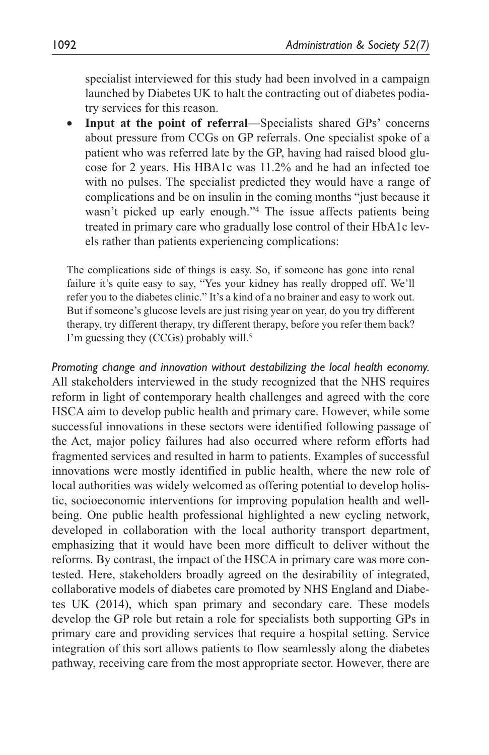specialist interviewed for this study had been involved in a campaign launched by Diabetes UK to halt the contracting out of diabetes podiatry services for this reason.

**Input at the point of referral—Specialists shared GPs' concerns** about pressure from CCGs on GP referrals. One specialist spoke of a patient who was referred late by the GP, having had raised blood glucose for 2 years. His HBA1c was 11.2% and he had an infected toe with no pulses. The specialist predicted they would have a range of complications and be on insulin in the coming months "just because it wasn't picked up early enough."4 The issue affects patients being treated in primary care who gradually lose control of their HbA1c levels rather than patients experiencing complications:

The complications side of things is easy. So, if someone has gone into renal failure it's quite easy to say, "Yes your kidney has really dropped off. We'll refer you to the diabetes clinic." It's a kind of a no brainer and easy to work out. But if someone's glucose levels are just rising year on year, do you try different therapy, try different therapy, try different therapy, before you refer them back? I'm guessing they (CCGs) probably will.<sup>5</sup>

*Promoting change and innovation without destabilizing the local health economy.* All stakeholders interviewed in the study recognized that the NHS requires reform in light of contemporary health challenges and agreed with the core HSCA aim to develop public health and primary care. However, while some successful innovations in these sectors were identified following passage of the Act, major policy failures had also occurred where reform efforts had fragmented services and resulted in harm to patients. Examples of successful innovations were mostly identified in public health, where the new role of local authorities was widely welcomed as offering potential to develop holistic, socioeconomic interventions for improving population health and wellbeing. One public health professional highlighted a new cycling network, developed in collaboration with the local authority transport department, emphasizing that it would have been more difficult to deliver without the reforms. By contrast, the impact of the HSCA in primary care was more contested. Here, stakeholders broadly agreed on the desirability of integrated, collaborative models of diabetes care promoted by NHS England and Diabetes UK (2014), which span primary and secondary care. These models develop the GP role but retain a role for specialists both supporting GPs in primary care and providing services that require a hospital setting. Service integration of this sort allows patients to flow seamlessly along the diabetes pathway, receiving care from the most appropriate sector. However, there are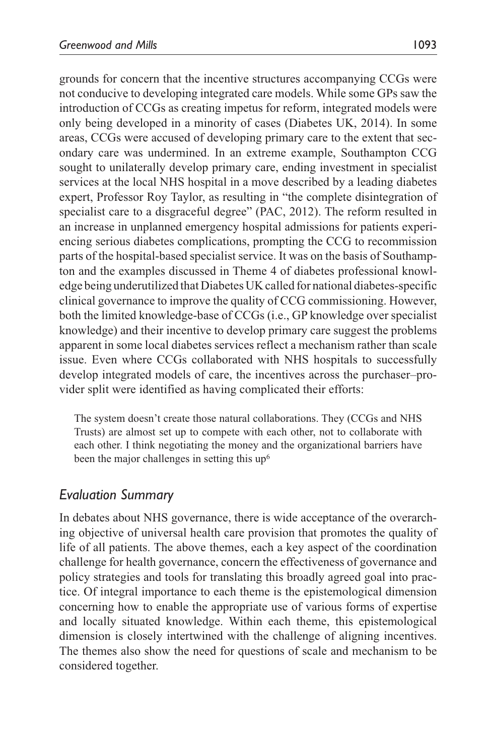grounds for concern that the incentive structures accompanying CCGs were not conducive to developing integrated care models. While some GPs saw the introduction of CCGs as creating impetus for reform, integrated models were only being developed in a minority of cases (Diabetes UK, 2014). In some areas, CCGs were accused of developing primary care to the extent that secondary care was undermined. In an extreme example, Southampton CCG sought to unilaterally develop primary care, ending investment in specialist services at the local NHS hospital in a move described by a leading diabetes expert, Professor Roy Taylor, as resulting in "the complete disintegration of specialist care to a disgraceful degree" (PAC, 2012). The reform resulted in an increase in unplanned emergency hospital admissions for patients experiencing serious diabetes complications, prompting the CCG to recommission parts of the hospital-based specialist service. It was on the basis of Southampton and the examples discussed in Theme 4 of diabetes professional knowledge being underutilized that Diabetes UK called for national diabetes-specific clinical governance to improve the quality of CCG commissioning. However, both the limited knowledge-base of CCGs (i.e., GP knowledge over specialist knowledge) and their incentive to develop primary care suggest the problems apparent in some local diabetes services reflect a mechanism rather than scale issue. Even where CCGs collaborated with NHS hospitals to successfully develop integrated models of care, the incentives across the purchaser–provider split were identified as having complicated their efforts:

The system doesn't create those natural collaborations. They (CCGs and NHS Trusts) are almost set up to compete with each other, not to collaborate with each other. I think negotiating the money and the organizational barriers have been the major challenges in setting this up<sup>6</sup>

### *Evaluation Summary*

In debates about NHS governance, there is wide acceptance of the overarching objective of universal health care provision that promotes the quality of life of all patients. The above themes, each a key aspect of the coordination challenge for health governance, concern the effectiveness of governance and policy strategies and tools for translating this broadly agreed goal into practice. Of integral importance to each theme is the epistemological dimension concerning how to enable the appropriate use of various forms of expertise and locally situated knowledge. Within each theme, this epistemological dimension is closely intertwined with the challenge of aligning incentives. The themes also show the need for questions of scale and mechanism to be considered together.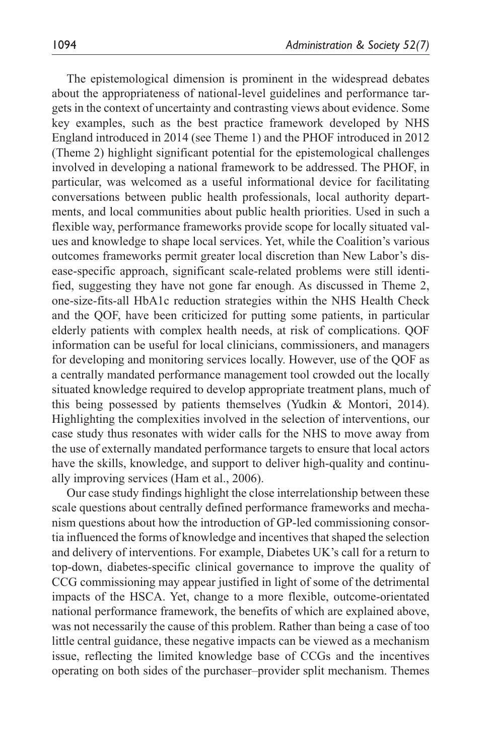The epistemological dimension is prominent in the widespread debates about the appropriateness of national-level guidelines and performance targets in the context of uncertainty and contrasting views about evidence. Some key examples, such as the best practice framework developed by NHS England introduced in 2014 (see Theme 1) and the PHOF introduced in 2012 (Theme 2) highlight significant potential for the epistemological challenges involved in developing a national framework to be addressed. The PHOF, in particular, was welcomed as a useful informational device for facilitating conversations between public health professionals, local authority departments, and local communities about public health priorities. Used in such a flexible way, performance frameworks provide scope for locally situated values and knowledge to shape local services. Yet, while the Coalition's various outcomes frameworks permit greater local discretion than New Labor's disease-specific approach, significant scale-related problems were still identified, suggesting they have not gone far enough. As discussed in Theme 2, one-size-fits-all HbA1c reduction strategies within the NHS Health Check and the QOF, have been criticized for putting some patients, in particular elderly patients with complex health needs, at risk of complications. QOF information can be useful for local clinicians, commissioners, and managers for developing and monitoring services locally. However, use of the QOF as a centrally mandated performance management tool crowded out the locally situated knowledge required to develop appropriate treatment plans, much of this being possessed by patients themselves (Yudkin & Montori, 2014). Highlighting the complexities involved in the selection of interventions, our case study thus resonates with wider calls for the NHS to move away from the use of externally mandated performance targets to ensure that local actors have the skills, knowledge, and support to deliver high-quality and continually improving services (Ham et al., 2006).

Our case study findings highlight the close interrelationship between these scale questions about centrally defined performance frameworks and mechanism questions about how the introduction of GP-led commissioning consortia influenced the forms of knowledge and incentives that shaped the selection and delivery of interventions. For example, Diabetes UK's call for a return to top-down, diabetes-specific clinical governance to improve the quality of CCG commissioning may appear justified in light of some of the detrimental impacts of the HSCA. Yet, change to a more flexible, outcome-orientated national performance framework, the benefits of which are explained above, was not necessarily the cause of this problem. Rather than being a case of too little central guidance, these negative impacts can be viewed as a mechanism issue, reflecting the limited knowledge base of CCGs and the incentives operating on both sides of the purchaser–provider split mechanism. Themes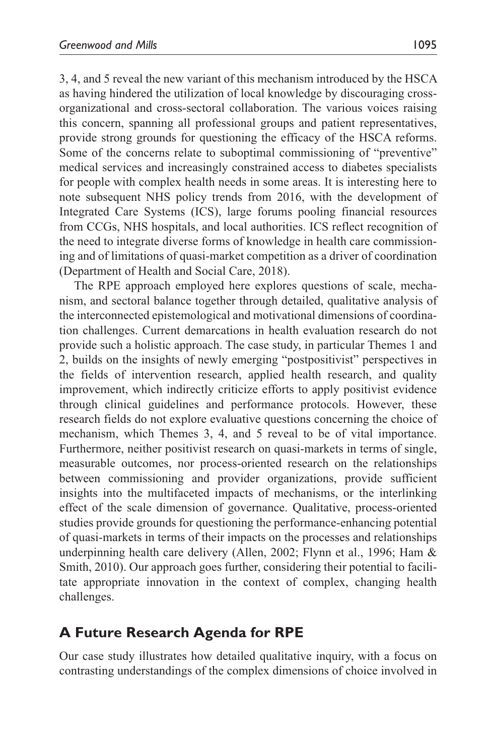3, 4, and 5 reveal the new variant of this mechanism introduced by the HSCA as having hindered the utilization of local knowledge by discouraging crossorganizational and cross-sectoral collaboration. The various voices raising this concern, spanning all professional groups and patient representatives, provide strong grounds for questioning the efficacy of the HSCA reforms. Some of the concerns relate to suboptimal commissioning of "preventive" medical services and increasingly constrained access to diabetes specialists for people with complex health needs in some areas. It is interesting here to note subsequent NHS policy trends from 2016, with the development of Integrated Care Systems (ICS), large forums pooling financial resources from CCGs, NHS hospitals, and local authorities. ICS reflect recognition of the need to integrate diverse forms of knowledge in health care commissioning and of limitations of quasi-market competition as a driver of coordination (Department of Health and Social Care, 2018).

The RPE approach employed here explores questions of scale, mechanism, and sectoral balance together through detailed, qualitative analysis of the interconnected epistemological and motivational dimensions of coordination challenges. Current demarcations in health evaluation research do not provide such a holistic approach. The case study, in particular Themes 1 and 2, builds on the insights of newly emerging "postpositivist" perspectives in the fields of intervention research, applied health research, and quality improvement, which indirectly criticize efforts to apply positivist evidence through clinical guidelines and performance protocols. However, these research fields do not explore evaluative questions concerning the choice of mechanism, which Themes 3, 4, and 5 reveal to be of vital importance. Furthermore, neither positivist research on quasi-markets in terms of single, measurable outcomes, nor process-oriented research on the relationships between commissioning and provider organizations, provide sufficient insights into the multifaceted impacts of mechanisms, or the interlinking effect of the scale dimension of governance. Qualitative, process-oriented studies provide grounds for questioning the performance-enhancing potential of quasi-markets in terms of their impacts on the processes and relationships underpinning health care delivery (Allen, 2002; Flynn et al., 1996; Ham & Smith, 2010). Our approach goes further, considering their potential to facilitate appropriate innovation in the context of complex, changing health challenges.

## **A Future Research Agenda for RPE**

Our case study illustrates how detailed qualitative inquiry, with a focus on contrasting understandings of the complex dimensions of choice involved in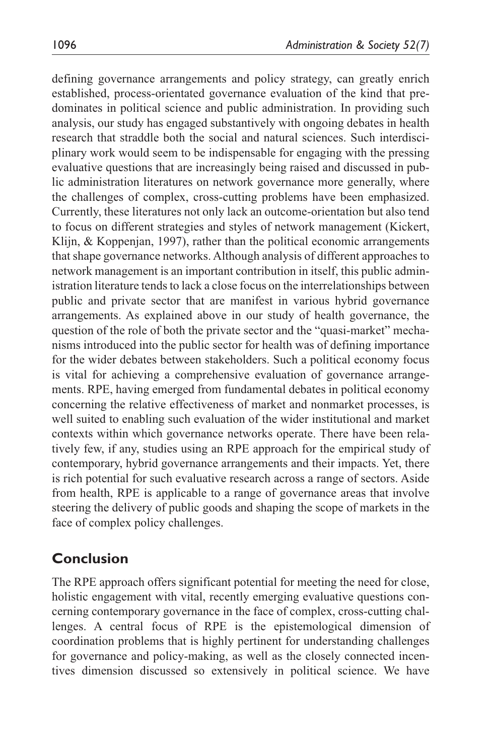defining governance arrangements and policy strategy, can greatly enrich established, process-orientated governance evaluation of the kind that predominates in political science and public administration. In providing such analysis, our study has engaged substantively with ongoing debates in health research that straddle both the social and natural sciences. Such interdisciplinary work would seem to be indispensable for engaging with the pressing evaluative questions that are increasingly being raised and discussed in public administration literatures on network governance more generally, where the challenges of complex, cross-cutting problems have been emphasized. Currently, these literatures not only lack an outcome-orientation but also tend to focus on different strategies and styles of network management (Kickert, Klijn, & Koppenjan, 1997), rather than the political economic arrangements that shape governance networks. Although analysis of different approaches to network management is an important contribution in itself, this public administration literature tends to lack a close focus on the interrelationships between public and private sector that are manifest in various hybrid governance arrangements. As explained above in our study of health governance, the question of the role of both the private sector and the "quasi-market" mechanisms introduced into the public sector for health was of defining importance for the wider debates between stakeholders. Such a political economy focus is vital for achieving a comprehensive evaluation of governance arrangements. RPE, having emerged from fundamental debates in political economy concerning the relative effectiveness of market and nonmarket processes, is well suited to enabling such evaluation of the wider institutional and market contexts within which governance networks operate. There have been relatively few, if any, studies using an RPE approach for the empirical study of contemporary, hybrid governance arrangements and their impacts. Yet, there is rich potential for such evaluative research across a range of sectors. Aside from health, RPE is applicable to a range of governance areas that involve steering the delivery of public goods and shaping the scope of markets in the face of complex policy challenges.

## **Conclusion**

The RPE approach offers significant potential for meeting the need for close, holistic engagement with vital, recently emerging evaluative questions concerning contemporary governance in the face of complex, cross-cutting challenges. A central focus of RPE is the epistemological dimension of coordination problems that is highly pertinent for understanding challenges for governance and policy-making, as well as the closely connected incentives dimension discussed so extensively in political science. We have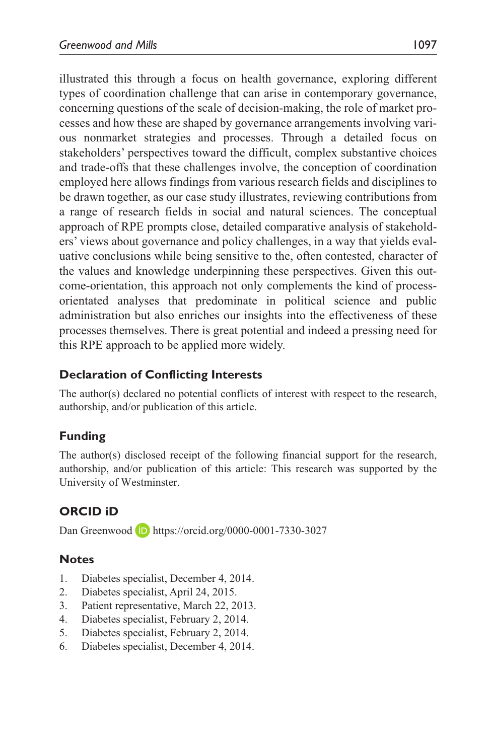illustrated this through a focus on health governance, exploring different types of coordination challenge that can arise in contemporary governance, concerning questions of the scale of decision-making, the role of market processes and how these are shaped by governance arrangements involving various nonmarket strategies and processes. Through a detailed focus on stakeholders' perspectives toward the difficult, complex substantive choices and trade-offs that these challenges involve, the conception of coordination employed here allows findings from various research fields and disciplines to be drawn together, as our case study illustrates, reviewing contributions from a range of research fields in social and natural sciences. The conceptual approach of RPE prompts close, detailed comparative analysis of stakeholders' views about governance and policy challenges, in a way that yields evaluative conclusions while being sensitive to the, often contested, character of the values and knowledge underpinning these perspectives. Given this outcome-orientation, this approach not only complements the kind of processorientated analyses that predominate in political science and public administration but also enriches our insights into the effectiveness of these processes themselves. There is great potential and indeed a pressing need for this RPE approach to be applied more widely.

### **Declaration of Conflicting Interests**

The author(s) declared no potential conflicts of interest with respect to the research, authorship, and/or publication of this article.

### **Funding**

The author(s) disclosed receipt of the following financial support for the research, authorship, and/or publication of this article: This research was supported by the University of Westminster.

### **ORCID iD**

Dan Greenwood **D** <https://orcid.org/0000-0001-7330-3027>

#### **Notes**

- 1. Diabetes specialist, December 4, 2014.
- 2. Diabetes specialist, April 24, 2015.
- 3. Patient representative, March 22, 2013.
- 4. Diabetes specialist, February 2, 2014.
- 5. Diabetes specialist, February 2, 2014.
- 6. Diabetes specialist, December 4, 2014.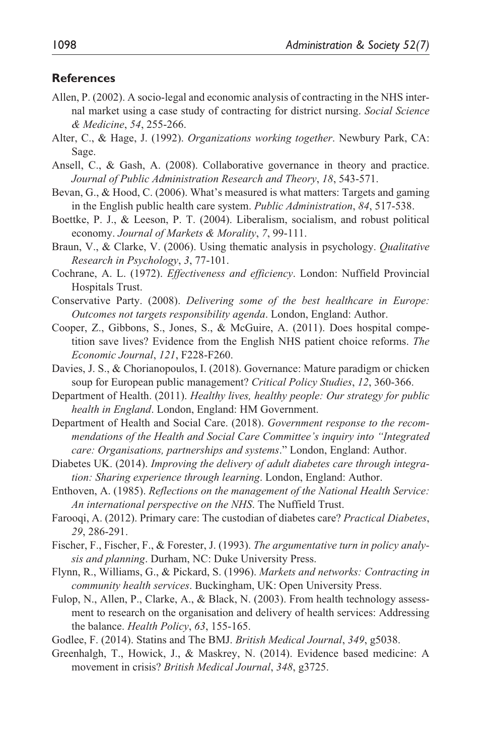#### **References**

- Allen, P. (2002). A socio-legal and economic analysis of contracting in the NHS internal market using a case study of contracting for district nursing. *Social Science & Medicine*, *54*, 255-266.
- Alter, C., & Hage, J. (1992). *Organizations working together*. Newbury Park, CA: Sage.
- Ansell, C., & Gash, A. (2008). Collaborative governance in theory and practice. *Journal of Public Administration Research and Theory*, *18*, 543-571.
- Bevan, G., & Hood, C. (2006). What's measured is what matters: Targets and gaming in the English public health care system. *Public Administration*, *84*, 517-538.
- Boettke, P. J., & Leeson, P. T. (2004). Liberalism, socialism, and robust political economy. *Journal of Markets & Morality*, *7*, 99-111.
- Braun, V., & Clarke, V. (2006). Using thematic analysis in psychology. *Qualitative Research in Psychology*, *3*, 77-101.
- Cochrane, A. L. (1972). *Effectiveness and efficiency*. London: Nuffield Provincial Hospitals Trust.
- Conservative Party. (2008). *Delivering some of the best healthcare in Europe: Outcomes not targets responsibility agenda*. London, England: Author.
- Cooper, Z., Gibbons, S., Jones, S., & McGuire, A. (2011). Does hospital competition save lives? Evidence from the English NHS patient choice reforms. *The Economic Journal*, *121*, F228-F260.
- Davies, J. S., & Chorianopoulos, I. (2018). Governance: Mature paradigm or chicken soup for European public management? *Critical Policy Studies*, *12*, 360-366.
- Department of Health. (2011). *Healthy lives, healthy people: Our strategy for public health in England*. London, England: HM Government.
- Department of Health and Social Care. (2018). *Government response to the recommendations of the Health and Social Care Committee's inquiry into "Integrated care: Organisations, partnerships and systems*." London, England: Author.
- Diabetes UK. (2014). *Improving the delivery of adult diabetes care through integration: Sharing experience through learning*. London, England: Author.
- Enthoven, A. (1985). *Reflections on the management of the National Health Service: An international perspective on the NHS*. The Nuffield Trust.
- Farooqi, A. (2012). Primary care: The custodian of diabetes care? *Practical Diabetes*, *29*, 286-291.
- Fischer, F., Fischer, F., & Forester, J. (1993). *The argumentative turn in policy analysis and planning*. Durham, NC: Duke University Press.
- Flynn, R., Williams, G., & Pickard, S. (1996). *Markets and networks: Contracting in community health services*. Buckingham, UK: Open University Press.
- Fulop, N., Allen, P., Clarke, A., & Black, N. (2003). From health technology assessment to research on the organisation and delivery of health services: Addressing the balance. *Health Policy*, *63*, 155-165.
- Godlee, F. (2014). Statins and The BMJ. *British Medical Journal*, *349*, g5038.
- Greenhalgh, T., Howick, J., & Maskrey, N. (2014). Evidence based medicine: A movement in crisis? *British Medical Journal*, *348*, g3725.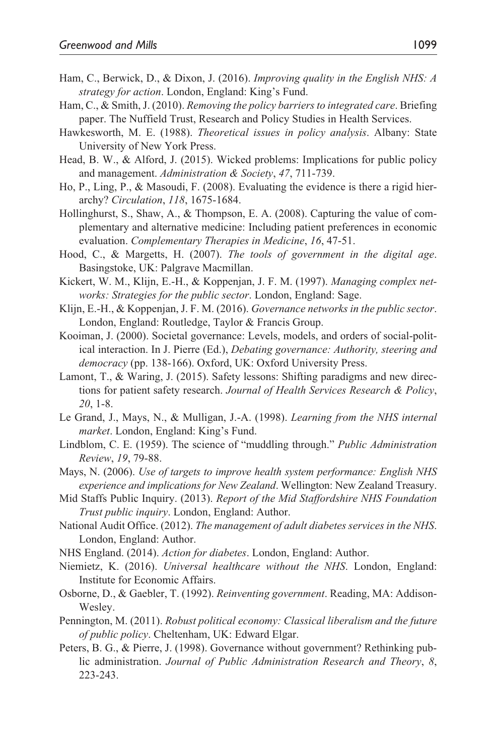- Ham, C., Berwick, D., & Dixon, J. (2016). *Improving quality in the English NHS: A strategy for action*. London, England: King's Fund.
- Ham, C., & Smith, J. (2010). *Removing the policy barriers to integrated care*. Briefing paper. The Nuffield Trust, Research and Policy Studies in Health Services.
- Hawkesworth, M. E. (1988). *Theoretical issues in policy analysis*. Albany: State University of New York Press.
- Head, B. W., & Alford, J. (2015). Wicked problems: Implications for public policy and management. *Administration & Society*, *47*, 711-739.
- Ho, P., Ling, P., & Masoudi, F. (2008). Evaluating the evidence is there a rigid hierarchy? *Circulation*, *118*, 1675-1684.
- Hollinghurst, S., Shaw, A., & Thompson, E. A. (2008). Capturing the value of complementary and alternative medicine: Including patient preferences in economic evaluation. *Complementary Therapies in Medicine*, *16*, 47-51.
- Hood, C., & Margetts, H. (2007). *The tools of government in the digital age*. Basingstoke, UK: Palgrave Macmillan.
- Kickert, W. M., Klijn, E.-H., & Koppenjan, J. F. M. (1997). *Managing complex networks: Strategies for the public sector*. London, England: Sage.
- Klijn, E.-H., & Koppenjan, J. F. M. (2016). *Governance networks in the public sector*. London, England: Routledge, Taylor & Francis Group.
- Kooiman, J. (2000). Societal governance: Levels, models, and orders of social-political interaction. In J. Pierre (Ed.), *Debating governance: Authority, steering and democracy* (pp. 138-166). Oxford, UK: Oxford University Press.
- Lamont, T., & Waring, J. (2015). Safety lessons: Shifting paradigms and new directions for patient safety research. *Journal of Health Services Research & Policy*, *20*, 1-8.
- Le Grand, J., Mays, N., & Mulligan, J.-A. (1998). *Learning from the NHS internal market*. London, England: King's Fund.
- Lindblom, C. E. (1959). The science of "muddling through." *Public Administration Review*, *19*, 79-88.
- Mays, N. (2006). *Use of targets to improve health system performance: English NHS experience and implications for New Zealand*. Wellington: New Zealand Treasury.
- Mid Staffs Public Inquiry. (2013). *Report of the Mid Staffordshire NHS Foundation Trust public inquiry*. London, England: Author.
- National Audit Office. (2012). *The management of adult diabetes services in the NHS*. London, England: Author.
- NHS England. (2014). *Action for diabetes*. London, England: Author.
- Niemietz, K. (2016). *Universal healthcare without the NHS*. London, England: Institute for Economic Affairs.
- Osborne, D., & Gaebler, T. (1992). *Reinventing government*. Reading, MA: Addison-Wesley.
- Pennington, M. (2011). *Robust political economy: Classical liberalism and the future of public policy*. Cheltenham, UK: Edward Elgar.
- Peters, B. G., & Pierre, J. (1998). Governance without government? Rethinking public administration. *Journal of Public Administration Research and Theory*, *8*, 223-243.